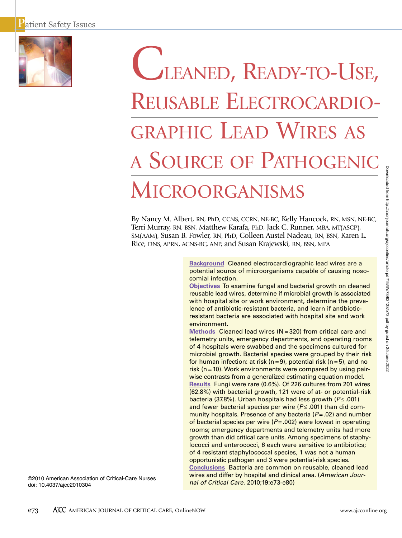

# LEANED, READY-TO-USE, REUSABLE ELECTROCARDIO gRAphIC LEAd WIREs As A SOURCE OF PATHOGENIC MICROORgANIsMs

by Nancy M. Albert, RN, phd, CCNs, CCRN, NE-bC, Kelly hancock, RN, MsN, NE-bC, Terri Murray, RN, bsN, Matthew Karafa, phd, Jack C. Runner, MbA, MT(AsCp), sM(AAM), susan b. Fowler, RN, phd, Colleen Austel Nadeau, RN, bsN, Karen L. Rice, DNS, APRN, ACNS-BC, ANP, and Susan Krajewski, RN, BSN, MPA

> **Background** Cleaned electrocardiographic lead wires are a potential source of microorganisms capable of causing nosocomial infection.

**Objectives** To examine fungal and bacterial growth on cleaned reusable lead wires, determine if microbial growth is associated with hospital site or work environment, determine the prevalence of antibiotic-resistant bacteria, and learn if antibioticresistant bacteria are associated with hospital site and work environment.

**Methods** Cleaned lead wires (N = 320) from critical care and telemetry units, emergency departments, and operating rooms of 4 hospitals were swabbed and the specimens cultured for microbial growth. Bacterial species were grouped by their risk for human infection: at risk ( $n = 9$ ), potential risk ( $n = 5$ ), and no risk ( $n = 10$ ). Work environments were compared by using pairwise contrasts from a generalized estimating equation model. **Results** Fungi were rare (0.6%). Of 226 cultures from 201 wires (62.8%) with bacterial growth, 121 were of at- or potential-risk bacteria (37.8%). Urban hospitals had less growth ( $P$  ≤ .001) and fewer bacterial species per wire  $(P \le 0.001)$  than did community hospitals. Presence of any bacteria (*P*= .02) and number of bacterial species per wire (*P*= .002) were lowest in operating rooms; emergency departments and telemetry units had more growth than did critical care units. Among specimens of staphylococci and enterococci, 6 each were sensitive to antibiotics; of 4 resistant staphylococcal species, 1 was not a human opportunistic pathogen and 3 were potential-risk species. **Conclusions** Bacteria are common on reusable, cleaned lead wires and differ by hospital and clinical area. (*American Journal of Critical Care.* 2010;19:e73-e80)

Downloaded from http://aacnjournals.org/ajcoonline/article-pdf/19/6/e73/92128/e73.pdf by guest on 25 June 2022 Downloaded from http://aacnjournals.org/ajcconline/article-pdf/19/6/e73/92128/e73.pdf by guest on 25 June 2022

©2010 American Association of Critical-Care Nurses doi: 10.4037/ajcc2010304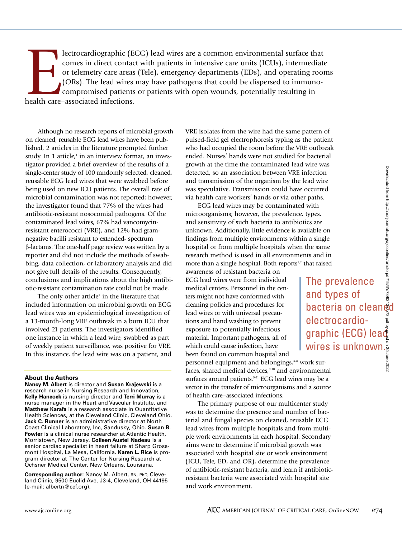Realth carelectrocardiographic (ECg) lead wires are a common environmental surface that comes in direct contact with patients in intensive care units (ICUs), intermediate or telemetry care areas (Tele), emergency departments (EDs), and operating rooms (ORs). The lead wires may have pathogens that could be dispersed to immunocompromised patients or patients with open wounds, potentially resulting in health care–associated infections.

Although no research reports of microbial growth on cleaned, reusable ECg lead wires have been published, 2 articles in the literature prompted further study. In 1 article,<sup>1</sup> in an interview format, an investigator provided a brief overview of the results of a single-center study of 100 randomly selected, cleaned, reusable ECg lead wires that were swabbed before being used on new ICU patients. The overall rate of microbial contamination was not reported; however, the investigator found that 77% of the wires had antibiotic-resistant nosocomial pathogens. Of the contaminated lead wires, 67% had vancomycinresistant enterococci (VRE), and 12% had gramnegative bacilli resistant to extended- spectrum β-lactams. The one-half page review was written by a reporter and did not include the methods of swabbing, data collection, or laboratory analysis and did not give full details of the results. Consequently, conclusions and implications about the high antibiotic-resistant contamination rate could not be made.

The only other article<sup>2</sup> in the literature that included information on microbial growth on ECg lead wires was an epidemiological investigation of a 13-month-long VRE outbreak in a burn ICU that involved 21 patients. The investigators identified one instance in which a lead wire, swabbed as part of weekly patient surveillance, was positive for VRE. In this instance, the lead wire was on a patient, and

#### **About the Authors**

**Nancy M. Albert** is director and **Susan Krajewski** is a research nurse in Nursing Research and Innovation, **Kelly Hancock** is nursing director and **Terri Murray** is a nurse manager in the Heart and Vascular Institute, and **Matthew Karafa** is a research associate in Quantitative Health Sciences, at the Cleveland Clinic, Cleveland Ohio. **Jack C. Runner** is an administrative director at North Coast Clinical Laboratory, Inc, Sandusky, Ohio. **Susan B. Fowler** is a clinical nurse researcher at Atlantic Health, Morristown, New Jersey. **Colleen Austel Nadeau** is a senior cardiac specialist in heart failure at Sharp Grossmont Hospital, La Mesa, California. **Karen L. Rice** is program director at The Center for Nursing Research at Ochsner Medical Center, New Orleans, Louisiana.

**Corresponding author:** Nancy M. Albert, RN, PhD, Cleveland Clinic, 9500 Euclid Ave, J3-4, Cleveland, OH 44195 (e-mail: albertn@ccf.org).

VRE isolates from the wire had the same pattern of pulsed-field gel electrophoresis typing as the patient who had occupied the room before the VRE outbreak ended. Nurses' hands were not studied for bacterial growth at the time the contaminated lead wire was detected, so an association between VRE infection and transmission of the organism by the lead wire was speculative. Transmission could have occurred via health care workers' hands or via other paths.

ECg lead wires may be contaminated with microorganisms; however, the prevalence, types, and sensitivity of such bacteria to antibiotics are unknown. Additionally, little evidence is available on findings from multiple environments within a single hospital or from multiple hospitals when the same research method is used in all environments and in more than a single hospital. Both reports<sup>1,2</sup> that raised

awareness of resistant bacteria on ECG lead wires were from individual medical centers. personnel in the centers might not have conformed with cleaning policies and procedures for lead wires or with universal precautions and hand washing to prevent exposure to potentially infectious material. Important pathogens, all of which could cause infection, have been found on common hospital and

personnel equipment and belongings, 3-8 work surfaces, shared medical devices,<sup>9,10</sup> and environmental surfaces around patients.<sup>9-11</sup> ECG lead wires may be a vector in the transfer of microorganisms and a source of health care–associated infections.

The primary purpose of our multicenter study was to determine the presence and number of bacterial and fungal species on cleaned, reusable ECg lead wires from multiple hospitals and from multiple work environments in each hospital. secondary aims were to determine if microbial growth was associated with hospital site or work environment (ICU, Tele, ED, and OR), determine the prevalence of antibiotic-resistant bacteria, and learn if antibioticresistant bacteria were associated with hospital site and work environment.

The prevalence and types of bacteria on cleaned electrocardiographic (ECG) lead wires is unknown.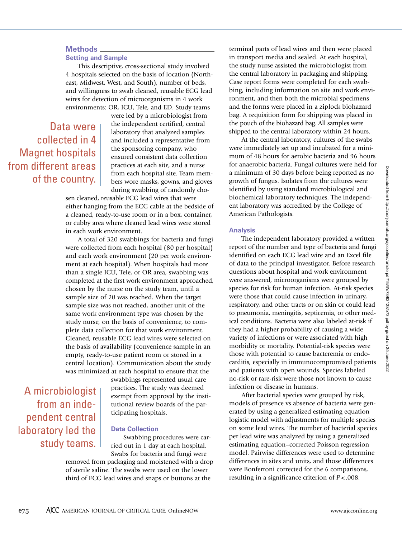# **Methods Setting and Sample**

This descriptive, cross-sectional study involved 4 hospitals selected on the basis of location (Northeast, Midwest, West, and south), number of beds, and willingness to swab cleaned, reusable ECG lead wires for detection of microorganisms in 4 work environments: OR, ICU, Tele, and ED. Study teams

Data were collected in 4 Magnet hospitals from different areas of the country.

were led by a microbiologist from the independent certified, central laboratory that analyzed samples and included a representative from the sponsoring company, who ensured consistent data collection practices at each site, and a nurse from each hospital site. Team members wore masks, gowns, and gloves during swabbing of randomly cho-

sen cleaned, reusable ECG lead wires that were either hanging from the ECg cable at the bedside of a cleaned, ready-to-use room or in a box, container, or cubby area where cleaned lead wires were stored in each work environment.

A total of 320 swabbings for bacteria and fungi were collected from each hospital (80 per hospital) and each work environment (20 per work environment at each hospital). When hospitals had more than a single ICU, Tele, or OR area, swabbing was completed at the first work environment approached, chosen by the nurse on the study team, until a sample size of 20 was reached. When the target sample size was not reached, another unit of the same work environment type was chosen by the study nurse, on the basis of convenience, to complete data collection for that work environment. Cleaned, reusable ECg lead wires were selected on the basis of availability (convenience sample in an empty, ready-to-use patient room or stored in a central location). Communication about the study was minimized at each hospital to ensure that the

# A microbiologist from an independent central laboratory led the study teams.

swabbings represented usual care practices. The study was deemed exempt from approval by the institutional review boards of the participating hospitals.

# **Data Collection**

swabbing procedures were carried out in 1 day at each hospital. swabs for bacteria and fungi were

removed from packaging and moistened with a drop of sterile saline. The swabs were used on the lower third of ECg lead wires and snaps or buttons at the

terminal parts of lead wires and then were placed in transport media and sealed. At each hospital, the study nurse assisted the microbiologist from the central laboratory in packaging and shipping. Case report forms were completed for each swabbing, including information on site and work environment, and then both the microbial specimens and the forms were placed in a ziplock biohazard bag. A requisition form for shipping was placed in the pouch of the biohazard bag. All samples were shipped to the central laboratory within 24 hours.

At the central laboratory, cultures of the swabs were immediately set up and incubated for a minimum of 48 hours for aerobic bacteria and 96 hours for anaerobic bacteria. Fungal cultures were held for a minimum of 30 days before being reported as no growth of fungus. Isolates from the cultures were identified by using standard microbiological and biochemical laboratory techniques. The independent laboratory was accredited by the College of American pathologists.

# **Analysis**

The independent laboratory provided a written report of the number and type of bacteria and fungi identified on each ECG lead wire and an Excel file of data to the principal investigator. before research questions about hospital and work environment were answered, microorganisms were grouped by species for risk for human infection. At-risk species were those that could cause infection in urinary, respiratory, and other tracts or on skin or could lead to pneumonia, meningitis, septicemia, or other medical conditions. bacteria were also labeled at-risk if they had a higher probability of causing a wide variety of infections or were associated with high morbidity or mortality. potential-risk species were those with potential to cause bacteremia or endocarditis, especially in immunocompromised patients and patients with open wounds. species labeled no-risk or rare-risk were those not known to cause infection or disease in humans.

After bacterial species were grouped by risk, models of presence vs absence of bacteria were generated by using a generalized estimating equation logistic model with adjustments for multiple species on some lead wires. The number of bacterial species per lead wire was analyzed by using a generalized estimating equation–corrected poisson regression model. pairwise differences were used to determine differences in sites and units, and those differences were bonferroni corrected for the 6 comparisons, resulting in a significance criterion of *P* < .008.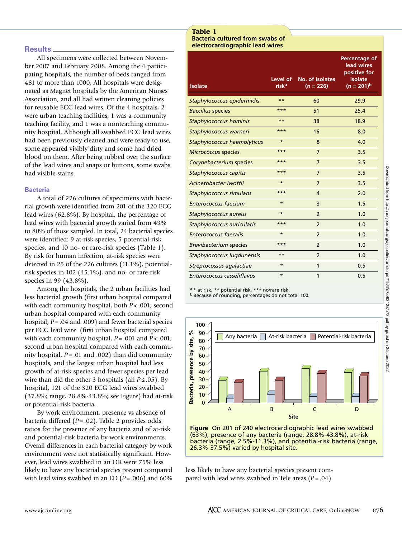## **Results**

All specimens were collected between November 2007 and February 2008. Among the 4 participating hospitals, the number of beds ranged from 481 to more than 1000. All hospitals were designated as Magnet hospitals by the American Nurses Association, and all had written cleaning policies for reusable ECG lead wires. Of the 4 hospitals, 2 were urban teaching facilities, 1 was a community teaching facility, and 1 was a nonteaching community hospital. Although all swabbed ECg lead wires had been previously cleaned and were ready to use, some appeared visibly dirty and some had dried blood on them. After being rubbed over the surface of the lead wires and snaps or buttons, some swabs had visible stains.

#### **Bacteria**

A total of 226 cultures of specimens with bacterial growth were identified from 201 of the 320 ECg lead wires (62.8%). by hospital, the percentage of lead wires with bacterial growth varied from 49% to 80% of those sampled. In total, 24 bacterial species were identified: 9 at-risk species, 5 potential-risk species, and 10 no- or rare-risk species (Table 1). by risk for human infection, at-risk species were detected in 25 of the 226 cultures (11.1%), potentialrisk species in 102 (45.1%), and no- or rare-risk species in 99 (43.8%).

Among the hospitals, the 2 urban facilities had less bacterial growth (first urban hospital compared with each community hospital, both *P* < .001; second urban hospital compared with each community hospital, *P*=.04 and .009) and fewer bacterial species per ECg lead wire (first urban hospital compared with each community hospital, *P* = .001 and *P* < .001; second urban hospital compared with each community hospital,  $P = .01$  and .002) than did community hospitals, and the largest urban hospital had less growth of at-risk species and fewer species per lead wire than did the other 3 hospitals (all  $P \le 0.05$ ). By hospital, 121 of the 320 ECG lead wires swabbed (37.8%; range, 28.8%-43.8%; see Figure) had at-risk or potential-risk bacteria.

by work environment, presence vs absence of bacteria differed (*P* = .02). Table 2 provides odds ratios for the presence of any bacteria and of at-risk and potential-risk bacteria by work environments. Overall differences in each bacterial category by work environment were not statistically significant. however, lead wires swabbed in an OR were 75% less likely to have any bacterial species present compared with lead wires swabbed in an ED  $(P=.006)$  and 60%

#### **Table 1 Bacteria cultured from swabs of electrocardiographic lead wires**

| <b>Isolate</b>                     | Level of<br>risk <sup>a</sup> | No. of isolates<br>$(n = 226)$ | <b>Percentage of</b><br>lead wires<br>positive for<br>isolate<br>$(n = 201)^{b}$ |
|------------------------------------|-------------------------------|--------------------------------|----------------------------------------------------------------------------------|
| Staphylococcus epidermidis         | $***$                         | 60                             | 29.9                                                                             |
| <b>Baccillus species</b>           | ***                           | 51                             | 25.4                                                                             |
| <b>Staphylococcus hominis</b>      | $***$                         | 38                             | 18.9                                                                             |
| Staphylococcus warneri             | ***                           | 16                             | 8.0                                                                              |
| <b>Staphylococcus haemolyticus</b> | $\star$                       | 8                              | 4.0                                                                              |
| <b>Micrococcus species</b>         | ***                           | $\overline{7}$                 | 3.5                                                                              |
| Corynebacterium species            | $***$                         | $\overline{7}$                 | 3.5                                                                              |
| Staphylococcus capitis             | ***                           | $\overline{7}$                 | 3.5                                                                              |
| Acinetobacter Iwoffii              | $\star$                       | 7                              | 3.5                                                                              |
| Staphylococcus simulans            | ***                           | 4                              | 2.0                                                                              |
| <b>Enterococcus faecium</b>        | $\star$                       | 3                              | 1.5                                                                              |
| Staphylococcus aureus              | $\star$                       | $\overline{\phantom{0}}$       | 1.0                                                                              |
| Staphylococcus auricularis         | ***                           | $\overline{2}$                 | 1.0                                                                              |
| <b>Enterococcus faecalis</b>       | $\star$                       | $\overline{\phantom{0}}$       | 1.0                                                                              |
| <b>Brevibacterium species</b>      | ***                           | $\overline{\phantom{0}}$       | 1.0                                                                              |
| Staphylococcus lugdunensis         | $***$                         | $\overline{\phantom{0}}$       | 1.0                                                                              |
| Streptocossus agalactiae           | $\star$                       | 1                              | 0.5                                                                              |
| Enterococcus casseliflavus         | $\star$                       | 1                              | 0.5                                                                              |

a \* at risk, \*\* potential risk, \*\*\* no/rare risk.

<sup>b</sup> Because of rounding, percentages do not total 100.





less likely to have any bacterial species present compared with lead wires swabbed in Tele areas (*P*=.04).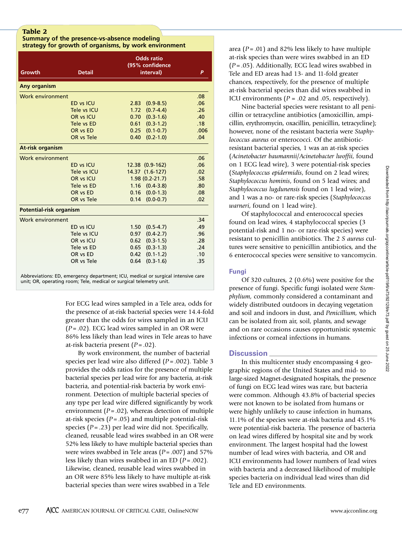## **Table 2**

**Summary of the presence-vs-absence modeling strategy for growth of organisms, by work environment**

| Growth                         | <b>Detail</b>     | <b>Odds</b> ratio<br>(95% confidence<br>interval) | P    |
|--------------------------------|-------------------|---------------------------------------------------|------|
| <b>Any organism</b>            |                   |                                                   |      |
| Work environment               |                   |                                                   | .08  |
|                                | <b>ED vs ICU</b>  | 2.83<br>$(0.9 - 8.5)$                             | .06  |
|                                | Tele vs ICU       | 1.72<br>$(0.7 - 4.4)$                             | .26  |
|                                | OR vs ICU         | 0.70<br>$(0.3-1.6)$                               | .40  |
|                                | Tele vs ED        | 0.61<br>$(0.3-1.2)$                               | .18  |
|                                | OR vs FD          | $(0.1 - 0.7)$<br>0.25                             | .006 |
|                                | OR vs Tele        | $(0.2 - 1.0)$<br>0.40                             | .04  |
| <b>At-risk organism</b>        |                   |                                                   |      |
| Work environment               |                   |                                                   | .06  |
|                                | FD vs ICU         | 12.38 (0.9-162)                                   | .06  |
|                                | Tele vs ICU       | 14.37 (1.6-127)                                   | .02  |
|                                | OR vs ICU         | $1.98(0.2-21.7)$                                  | .58  |
|                                | Tele vs FD        | $1.16$ $(0.4-3.8)$                                | .80  |
|                                | OR vs FD          | 0.16<br>$(0.0-1.3)$                               | .08  |
|                                | <b>OR vs Tele</b> | $(0.0 - 0.7)$<br>0.14                             | .02  |
| <b>Potential-risk organism</b> |                   |                                                   |      |
| Work environment               |                   |                                                   | .34  |
|                                | ED vs ICU         | $(0.5 - 4.7)$<br>1.50                             | .49  |
|                                | Tele vs ICU       | 0.97<br>$(0.4 - 2.7)$                             | .96  |
|                                | OR vs ICU         | 0.62<br>$(0.3-1.5)$                               | .28  |
|                                | Tele vs ED        | $(0.3-1.3)$<br>0.65                               | .24  |
|                                | OR vs ED          | $(0.1 - 1.2)$<br>0.42                             | .10  |
|                                | OR vs Tele        | 0.64<br>$(0.3 - 1.6)$                             | .35  |

Abbreviations: ED, emergency department; ICU, medical or surgical intensive care unit; OR, operating room; Tele, medical or surgical telemetry unit.

> For ECg lead wires sampled in a Tele area, odds for the presence of at-risk bacterial species were 14.4-fold greater than the odds for wires sampled in an ICU  $(P=.02)$ . ECG lead wires sampled in an OR were 86% less likely than lead wires in Tele areas to have at-risk bacteria present (*P* = .02).

> by work environment, the number of bacterial species per lead wire also differed (*P* = .002). Table 3 provides the odds ratios for the presence of multiple bacterial species per lead wire for any bacteria, at-risk bacteria, and potential-risk bacteria by work environment. Detection of multiple bacterial species of any type per lead wire differed significantly by work environment  $(P = .02)$ , whereas detection of multiple at-risk species (*P* = .05) and multiple potential-risk species  $(P = .23)$  per lead wire did not. Specifically, cleaned, reusable lead wires swabbed in an OR were 52% less likely to have multiple bacterial species than were wires swabbed in Tele areas (*P* = .007) and 57% less likely than wires swabbed in an ED  $(P = .002)$ . Likewise, cleaned, reusable lead wires swabbed in an OR were 85% less likely to have multiple at-risk bacterial species than were wires swabbed in a Tele

area  $(P=.01)$  and 82% less likely to have multiple at-risk species than were wires swabbed in an Ed (*P* = .05). Additionally, ECg lead wires swabbed in Tele and ED areas had 13- and 11-fold greater chances, respectively, for the presence of multiple at-risk bacterial species than did wires swabbed in ICU environments ( $P = .02$  and .05, respectively).

Nine bacterial species were resistant to all penicillin or tetracycline antibiotics (amoxicillin, ampicillin, erythromycin, oxacillin, penicillin, tetracycline); however, none of the resistant bacteria were *Staphylococcus aureus* or enterococci. Of the antibioticresistant bacterial species, 1 was an at-risk species (*Acinetobacter baumannii*/*Acinetobacter lwoffii*, found on 1 ECg lead wire), 3 were potential-risk species (*Staphylococcus epidermidis*, found on 2 lead wires; *Staphylococcus hominis*, found on 5 lead wires; and *Staphylococcus lugdunensis* found on 1 lead wire), and 1 was a no- or rare-risk species (*Staphylococcus warneri*, found on 1 lead wire).

Of staphylococcal and enterococcal species found on lead wires, 4 staphylococcal species (3 potential-risk and 1 no- or rare-risk species) were resistant to penicillin antibiotics. The 2 *S aureus* cultures were sensitive to penicillin antibiotics, and the 6 enterococcal species were sensitive to vancomycin.

# **Fungi**

Of 320 cultures, 2 (0.6%) were positive for the presence of fungi. specific fungi isolated were *Stemphylium,* commonly considered a contaminant and widely distributed outdoors in decaying vegetation and soil and indoors in dust, and *Penicillium,* which can be isolated from air, soil, plants, and sewage and on rare occasions causes opportunistic systemic infections or corneal infections in humans.

# **Discussion**

In this multicenter study encompassing 4 geographic regions of the United states and mid- to large-sized Magnet-designated hospitals, the presence of fungi on ECg lead wires was rare, but bacteria were common. Although 43.8% of bacterial species were not known to be isolated from humans or were highly unlikely to cause infection in humans, 11.1% of the species were at-risk bacteria and 45.1% were potential-risk bacteria. The presence of bacteria on lead wires differed by hospital site and by work environment. The largest hospital had the lowest number of lead wires with bacteria, and OR and ICU environments had lower numbers of lead wires with bacteria and a decreased likelihood of multiple species bacteria on individual lead wires than did Tele and ED environments.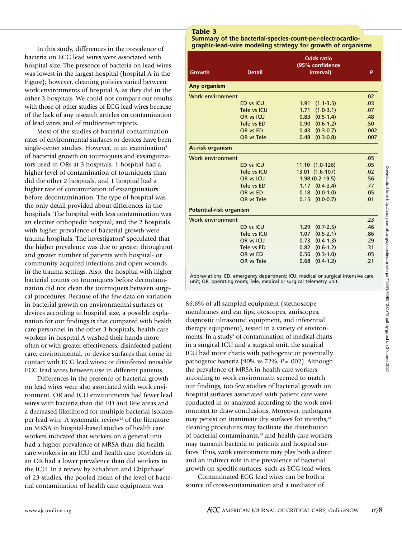In this study, differences in the prevalence of bacteria on ECg lead wires were associated with hospital size. The presence of bacteria on lead wires was lowest in the largest hospital (hospital A in the Figure); however, cleaning policies varied between work environments of hospital A, as they did in the other 3 hospitals. We could not compare our results with those of other studies of ECG lead wires because of the lack of any research articles on contamination of lead wires and of multicenter reports.

Most of the studies of bacterial contamination rates of environmental surfaces or devices have been single-center studies. However, in an examination<sup>8</sup> of bacterial growth on tourniquets and exsanguinators used in ORs at 3 hospitals, 1 hospital had a higher level of contamination of tourniquets than did the other 2 hospitals, and 1 hospital had a higher rate of contamination of exsanguinators before decontamination. The type of hospital was the only detail provided about differences in the hospitals. The hospital with less contamination was an elective orthopedic hospital, and the 2 hospitals with higher prevalence of bacterial growth were trauma hospitals. The investigators<sup>8</sup> speculated that the higher prevalence was due to greater throughput and greater number of patients with hospital- or community-acquired infections and open wounds in the trauma settings. Also, the hospital with higher bacterial counts on tourniquets before decontamination did not clean the tourniquets between surgical procedures. because of the few data on variation in bacterial growth on environmental surfaces or devices according to hospital size, a possible explanation for our findings is that compared with health care personnel in the other 3 hospitals, health care workers in hospital A washed their hands more often or with greater effectiveness; disinfected patient care, environmental, or device surfaces that come in contact with ECg lead wires; or disinfected reusable ECg lead wires between use in different patients.

Differences in the presence of bacterial growth on lead wires were also associated with work environment. OR and ICU environments had fewer lead wires with bacteria than did ED and Tele areas and a decreased likelihood for multiple bacterial isolates per lead wire. A systematic review<sup>12</sup> of the literature on MRsA in hospital-based studies of health care workers indicated that workers on a general unit had a higher prevalence of MRsA than did health care workers in an ICU and health care providers in an OR had a lower prevalence than did workers in the ICU. In a review by Schabrun and Chipchase<sup>13</sup> of 23 studies, the pooled mean of the level of bacterial contamination of health care equipment was

#### **Table 3**

#### **Summary of the bacterial-species-count-per-electrocardiographic-lead-wire modeling strategy for growth of organisms**

| Growth                         | <b>Detail</b>    | <b>Odds ratio</b><br>(95% confidence<br>interval) | P    |
|--------------------------------|------------------|---------------------------------------------------|------|
| <b>Any organism</b>            |                  |                                                   |      |
| Work environment               |                  |                                                   | .02  |
|                                | <b>ED vs ICU</b> | 1.91<br>$(1.1 - 3.5)$                             | .03  |
|                                | Tele vs ICU      | 1.71<br>$(1.0-3.1)$                               | .07  |
|                                | OR vs ICU        | $(0.5 - 1.4)$<br>0.83                             | .48  |
|                                | Tele vs ED       | $(0.6 - 1.2)$<br>0.90                             | .50  |
|                                | OR vs ED         | $(0.3 - 0.7)$<br>0.43                             | .002 |
|                                | OR vs Tele       | $(0.3 - 0.8)$<br>0.48                             | .007 |
| At-risk organism               |                  |                                                   |      |
| Work environment               |                  |                                                   | .05  |
|                                | <b>ED vs ICU</b> | 11.10 (1.0-126)                                   | .05  |
|                                | Tele vs ICU      | 13.01 (1.6-107)                                   | .02  |
|                                | OR vs ICU        | $1.98(0.2-19.5)$                                  | .56  |
|                                | Tele vs ED       | 1.17<br>$(0.4 - 3.4)$                             | .77  |
|                                | OR vs FD         | $(0.0-1.0)$<br>0.18                               | .05  |
|                                | OR vs Tele       | $(0.0 - 0.7)$<br>0.15                             | .01  |
| <b>Potential-risk organism</b> |                  |                                                   |      |
| Work environment               |                  |                                                   | .23  |
|                                | FD vs ICU        | 1.29<br>$(0.7 - 2.5)$                             | .46  |
|                                | Tele vs ICU      | $(0.5 - 2.1)$<br>1.07                             | .86  |
|                                | OR vs ICU        | $(0.4-1.3)$<br>0.73                               | .29  |
|                                | Tele vs ED       | $(0.6-1.2)$<br>0.82                               | .31  |
|                                | OR vs ED         | $(0.3 - 1.0)$<br>0.56                             | .05  |
|                                | OR vs Tele       | $(0.4-1.2)$<br>0.68                               | .21  |

Abbreviations: ED, emergency department; ICU, medical or surgical intensive care unit; OR, operating room; Tele, medical or surgical telemetry unit.

86.6% of all sampled equipment (stethoscope membranes and ear tips, otoscopes, auriscopes, diagnostic ultrasound equipment, and inferential therapy equipment), tested in a variety of environments. In a study<sup>8</sup> of contamination of medical charts in a surgical ICU and a surgical unit, the surgical ICU had more charts with pathogenic or potentially pathogenic bacteria (90% vs 72%; *P*=.002). Although the prevalence of MRsA in health care workers according to work environment seemed to match our findings, too few studies of bacterial growth on hospital surfaces associated with patient care were conducted in or analyzed according to the work environment to draw conclusions. Moreover, pathogens may persist on inanimate dry surfaces for months, 14 cleaning procedures may facilitate the distribution of bacterial contaminants, <sup>15</sup> and health care workers may transmit bacteria to patients and hospital surfaces. Thus, work environment may play both a direct and an indirect role in the prevalence of bacterial growth on specific surfaces, such as ECg lead wires.

Contaminated ECg lead wires can be both a source of cross-contamination and a mediator of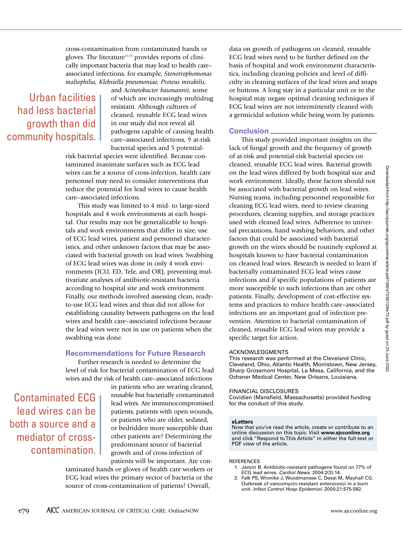cross-contamination from contaminated hands or gloves. The literature<sup>11,16</sup> provides reports of clinically important bacteria that may lead to health care– associated infections, for example, *Stenotrophomonas maltophilia, Klebsiella pneumoniae, Proteus mirabilis,*

# Urban facilities had less bacterial growth than did community hospitals.

and *Acinetobacter baumannii,* some of which are increasingly multidrug resistant. Although cultures of cleaned, reusable ECg lead wires in our study did not reveal all pathogens capable of causing health care–associated infections, 9 at-risk bacterial species and 5 potential-

risk bacterial species were identified. because contaminated inanimate surfaces such as ECG lead wires can be a source of cross-infection, health care personnel may need to consider interventions that reduce the potential for lead wires to cause health care–associated infections.

This study was limited to 4 mid- to large-sized hospitals and 4 work environments at each hospital. Our results may not be generalizable to hospitals and work environments that differ in size, use of ECg lead wires, patient and personnel characteristics, and other unknown factors that may be associated with bacterial growth on lead wires. swabbing of ECg lead wires was done in only 4 work environments (ICU, ED, Tele, and OR), preventing multivariate analyses of antibiotic-resistant bacteria according to hospital site and work environment. Finally, our methods involved assessing clean, readyto-use ECg lead wires and thus did not allow for establishing causality between pathogens on the lead wires and health care–associated infections because the lead wires were not in use on patients when the swabbing was done.

#### **Recommendations for Future Research**

Further research is needed to determine the level of risk for bacterial contamination of ECg lead wires and the risk of health care–associated infections

Contaminated ECG lead wires can be both a source and a mediator of crosscontamination.

in patients who are wearing cleaned, reusable but bacterially contaminated lead wires. Are immunocompromised patients, patients with open wounds, or patients who are older, sedated, or bedridden more susceptible than other patients are? Determining the predominant source of bacterial growth and of cross-infection of patients will be important. Are con-

taminated hands or gloves of health care workers or ECG lead wires the primary vector of bacteria or the source of cross-contamination of patients? Overall,

data on growth of pathogens on cleaned, reusable ECg lead wires need to be further defined on the basis of hospital and work environment characteristics, including cleaning policies and level of difficulty in cleaning surfaces of the lead wires and snaps or buttons. A long stay in a particular unit or in the hospital may negate optimal cleaning techniques if ECG lead wires are not intermittently cleaned with a germicidal solution while being worn by patients.

## **Conclusion**

This study provided important insights on the lack of fungal growth and the frequency of growth of at-risk and potential-risk bacterial species on cleaned, reusable ECg lead wires. bacterial growth on the lead wires differed by both hospital size and work environment. Ideally, these factors should not be associated with bacterial growth on lead wires. Nursing teams, including personnel responsible for cleaning ECg lead wires, need to review cleaning procedures, cleaning supplies, and storage practices used with cleaned lead wires. Adherence to universal precautions, hand washing behaviors, and other factors that could be associated with bacterial growth on the wires should be routinely explored at hospitals known to have bacterial contamination on cleaned lead wires. Research is needed to learn if bacterially contaminated ECg lead wires cause infections and if specific populations of patients are more susceptible to such infections than are other patients. Finally, development of cost-effective systems and practices to reduce health care–associated infections are an important goal of infection prevention. Attention to bacterial contamination of cleaned, reusable ECg lead wires may provide a specific target for action.

#### ACkNOWLEDGMENTS

This research was performed at the Cleveland Clinic, Cleveland, Ohio, Atlantic Health, Morristown, New Jersey, Sharp Grossmont Hospital, La Mesa, California, and the Ochsner Medical Center, New Orleans, Louisiana.

#### FINANCIAL DISCLOSURES

Covidien (Mansfield, Massachusetts) provided funding for the conduct of this study.

#### **eLetters**

Now that you've read the article, create or contribute to an online discussion on this topic. Visit **www.ajcconline.org** and click "Respond toThis Article" in either the full-text or PDF view of the article.

#### **REFERENCES**

- 1. Jancin B. Antibiotic-resistant pathogens found on 77% of ECG lead wires. *Cardiol News.* 2004:2(3):14.
- 2. Falk PS, Winnike J, Woodmansee C, Desai M, Mayhall CG. Outbreak of vancomycin-resistant enterococci in a burn unit. *Infect Control Hosp Epidemiol.* 2000;21:575-582.